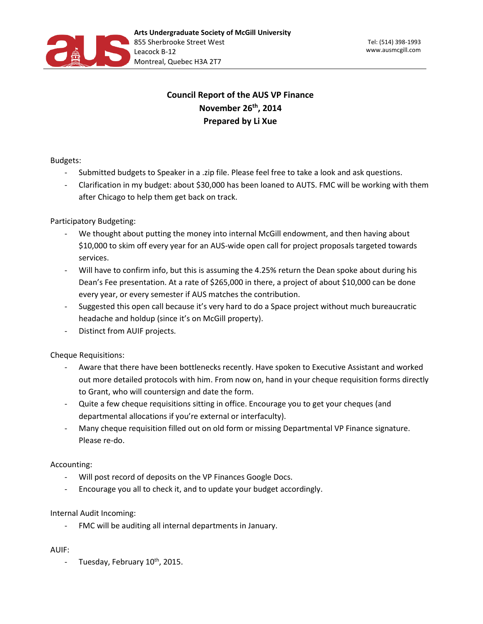

# **Council Report of the AUS VP Finance November 26th, 2014 Prepared by Li Xue**

## Budgets:

- Submitted budgets to Speaker in a .zip file. Please feel free to take a look and ask questions.
- Clarification in my budget: about \$30,000 has been loaned to AUTS. FMC will be working with them after Chicago to help them get back on track.

## Participatory Budgeting:

- We thought about putting the money into internal McGill endowment, and then having about \$10,000 to skim off every year for an AUS-wide open call for project proposals targeted towards services.
- Will have to confirm info, but this is assuming the 4.25% return the Dean spoke about during his Dean's Fee presentation. At a rate of \$265,000 in there, a project of about \$10,000 can be done every year, or every semester if AUS matches the contribution.
- Suggested this open call because it's very hard to do a Space project without much bureaucratic headache and holdup (since it's on McGill property).
- Distinct from AUIF projects.

## Cheque Requisitions:

- Aware that there have been bottlenecks recently. Have spoken to Executive Assistant and worked out more detailed protocols with him. From now on, hand in your cheque requisition forms directly to Grant, who will countersign and date the form.
- Quite a few cheque requisitions sitting in office. Encourage you to get your cheques (and departmental allocations if you're external or interfaculty).
- Many cheque requisition filled out on old form or missing Departmental VP Finance signature. Please re-do.

## Accounting:

- Will post record of deposits on the VP Finances Google Docs.
- Encourage you all to check it, and to update your budget accordingly.

## Internal Audit Incoming:

FMC will be auditing all internal departments in January.

#### AUIF:

- Tuesday, February  $10^{th}$ , 2015.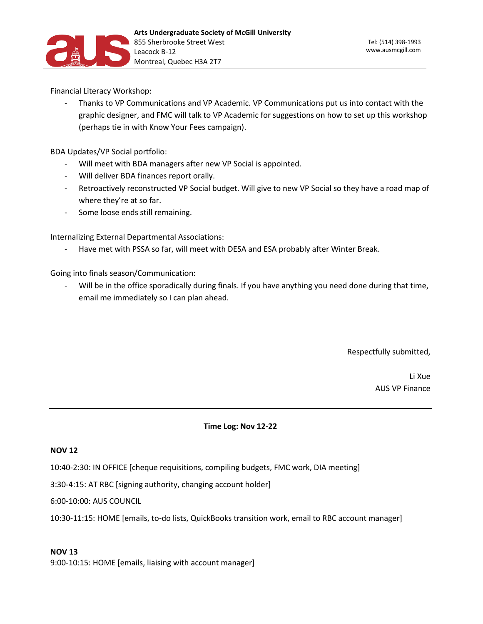

Financial Literacy Workshop:

- Thanks to VP Communications and VP Academic. VP Communications put us into contact with the graphic designer, and FMC will talk to VP Academic for suggestions on how to set up this workshop (perhaps tie in with Know Your Fees campaign).

BDA Updates/VP Social portfolio:

- Will meet with BDA managers after new VP Social is appointed.
- Will deliver BDA finances report orally.
- Retroactively reconstructed VP Social budget. Will give to new VP Social so they have a road map of where they're at so far.
- Some loose ends still remaining.

Internalizing External Departmental Associations:

Have met with PSSA so far, will meet with DESA and ESA probably after Winter Break.

Going into finals season/Communication:

Will be in the office sporadically during finals. If you have anything you need done during that time, email me immediately so I can plan ahead.

Respectfully submitted,

Li Xue AUS VP Finance

#### **Time Log: Nov 12-22**

## **NOV 12**

10:40-2:30: IN OFFICE [cheque requisitions, compiling budgets, FMC work, DIA meeting]

3:30-4:15: AT RBC [signing authority, changing account holder]

6:00-10:00: AUS COUNCIL

10:30-11:15: HOME [emails, to-do lists, QuickBooks transition work, email to RBC account manager]

#### **NOV 13**

9:00-10:15: HOME [emails, liaising with account manager]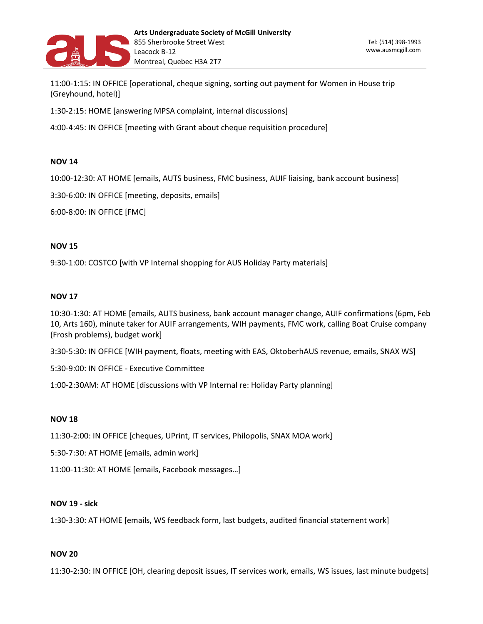

11:00-1:15: IN OFFICE [operational, cheque signing, sorting out payment for Women in House trip (Greyhound, hotel)]

1:30-2:15: HOME [answering MPSA complaint, internal discussions]

4:00-4:45: IN OFFICE [meeting with Grant about cheque requisition procedure]

## **NOV 14**

10:00-12:30: AT HOME [emails, AUTS business, FMC business, AUIF liaising, bank account business]

3:30-6:00: IN OFFICE [meeting, deposits, emails]

6:00-8:00: IN OFFICE [FMC]

#### **NOV 15**

9:30-1:00: COSTCO [with VP Internal shopping for AUS Holiday Party materials]

#### **NOV 17**

10:30-1:30: AT HOME [emails, AUTS business, bank account manager change, AUIF confirmations (6pm, Feb 10, Arts 160), minute taker for AUIF arrangements, WIH payments, FMC work, calling Boat Cruise company (Frosh problems), budget work]

3:30-5:30: IN OFFICE [WIH payment, floats, meeting with EAS, OktoberhAUS revenue, emails, SNAX WS]

5:30-9:00: IN OFFICE - Executive Committee

1:00-2:30AM: AT HOME [discussions with VP Internal re: Holiday Party planning]

#### **NOV 18**

11:30-2:00: IN OFFICE [cheques, UPrint, IT services, Philopolis, SNAX MOA work]

5:30-7:30: AT HOME [emails, admin work]

11:00-11:30: AT HOME [emails, Facebook messages…]

#### **NOV 19 - sick**

1:30-3:30: AT HOME [emails, WS feedback form, last budgets, audited financial statement work]

#### **NOV 20**

11:30-2:30: IN OFFICE [OH, clearing deposit issues, IT services work, emails, WS issues, last minute budgets]